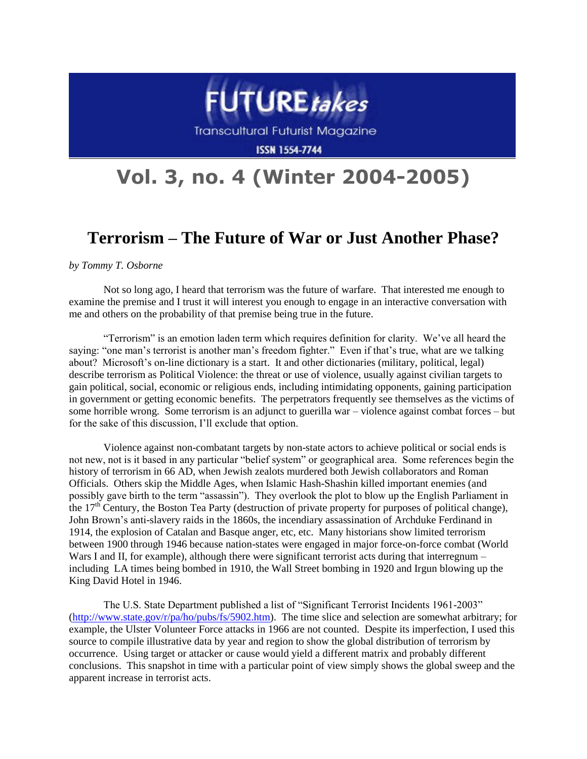

## **Vol. 3, no. 4 (Winter 2004-2005)**

## **Terrorism – The Future of War or Just Another Phase?**

*by Tommy T. Osborne*

Not so long ago, I heard that terrorism was the future of warfare. That interested me enough to examine the premise and I trust it will interest you enough to engage in an interactive conversation with me and others on the probability of that premise being true in the future.

"Terrorism" is an emotion laden term which requires definition for clarity. We've all heard the saying: "one man's terrorist is another man's freedom fighter." Even if that's true, what are we talking about? Microsoft's on-line dictionary is a start. It and other dictionaries (military, political, legal) describe terrorism as Political Violence: the threat or use of violence, usually against civilian targets to gain political, social, economic or religious ends, including intimidating opponents, gaining participation in government or getting economic benefits. The perpetrators frequently see themselves as the victims of some horrible wrong. Some terrorism is an adjunct to guerilla war – violence against combat forces – but for the sake of this discussion, I'll exclude that option.

Violence against non-combatant targets by non-state actors to achieve political or social ends is not new, not is it based in any particular "belief system" or geographical area. Some references begin the history of terrorism in 66 AD, when Jewish zealots murdered both Jewish collaborators and Roman Officials. Others skip the Middle Ages, when Islamic Hash-Shashin killed important enemies (and possibly gave birth to the term "assassin"). They overlook the plot to blow up the English Parliament in the  $17<sup>th</sup>$  Century, the Boston Tea Party (destruction of private property for purposes of political change), John Brown's anti-slavery raids in the 1860s, the incendiary assassination of Archduke Ferdinand in 1914, the explosion of Catalan and Basque anger, etc, etc. Many historians show limited terrorism between 1900 through 1946 because nation-states were engaged in major force-on-force combat (World Wars I and II, for example), although there were significant terrorist acts during that interregnum – including LA times being bombed in 1910, the Wall Street bombing in 1920 and Irgun blowing up the King David Hotel in 1946.

The U.S. State Department published a list of "Significant Terrorist Incidents 1961-2003" [\(http://www.state.gov/r/pa/ho/pubs/fs/5902.htm\)](http://www.state.gov/r/pa/ho/pubs/fs/5902.htm). The time slice and selection are somewhat arbitrary; for example, the Ulster Volunteer Force attacks in 1966 are not counted. Despite its imperfection, I used this source to compile illustrative data by year and region to show the global distribution of terrorism by occurrence. Using target or attacker or cause would yield a different matrix and probably different conclusions. This snapshot in time with a particular point of view simply shows the global sweep and the apparent increase in terrorist acts.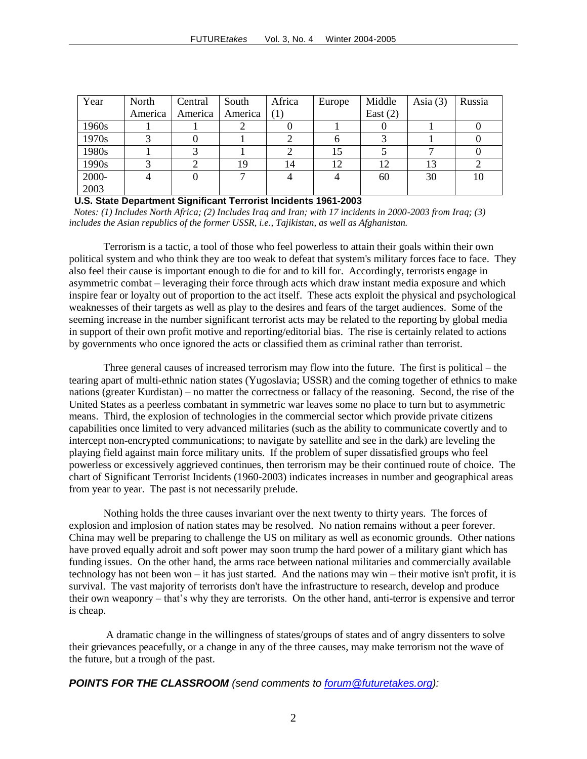| Year  | North   | Central | South   | Africa | Europe | Middle     | Asia $(3)$ | Russia |
|-------|---------|---------|---------|--------|--------|------------|------------|--------|
|       | America | America | America | (1)    |        | East $(2)$ |            |        |
| 1960s |         |         |         |        |        |            |            |        |
| 1970s |         |         |         |        |        |            |            |        |
| 1980s |         |         |         |        | 15     |            |            |        |
| 1990s |         |         | 19      | 14     | 12     | 12         | 13         |        |
| 2000- | 4       |         |         |        |        | 60         | 30         | 10     |
| 2003  |         |         |         |        |        |            |            |        |

 **U.S. State Department Significant Terrorist Incidents 1961-2003** 

 *Notes: (1) Includes North Africa; (2) Includes Iraq and Iran; with 17 incidents in 2000-2003 from Iraq; (3) includes the Asian republics of the former USSR, i.e., Tajikistan, as well as Afghanistan.* 

Terrorism is a tactic, a tool of those who feel powerless to attain their goals within their own political system and who think they are too weak to defeat that system's military forces face to face. They also feel their cause is important enough to die for and to kill for. Accordingly, terrorists engage in asymmetric combat – leveraging their force through acts which draw instant media exposure and which inspire fear or loyalty out of proportion to the act itself. These acts exploit the physical and psychological weaknesses of their targets as well as play to the desires and fears of the target audiences. Some of the seeming increase in the number significant terrorist acts may be related to the reporting by global media in support of their own profit motive and reporting/editorial bias. The rise is certainly related to actions by governments who once ignored the acts or classified them as criminal rather than terrorist.

Three general causes of increased terrorism may flow into the future. The first is political – the tearing apart of multi-ethnic nation states (Yugoslavia; USSR) and the coming together of ethnics to make nations (greater Kurdistan) – no matter the correctness or fallacy of the reasoning. Second, the rise of the United States as a peerless combatant in symmetric war leaves some no place to turn but to asymmetric means. Third, the explosion of technologies in the commercial sector which provide private citizens capabilities once limited to very advanced militaries (such as the ability to communicate covertly and to intercept non-encrypted communications; to navigate by satellite and see in the dark) are leveling the playing field against main force military units. If the problem of super dissatisfied groups who feel powerless or excessively aggrieved continues, then terrorism may be their continued route of choice. The chart of Significant Terrorist Incidents (1960-2003) indicates increases in number and geographical areas from year to year. The past is not necessarily prelude.

Nothing holds the three causes invariant over the next twenty to thirty years. The forces of explosion and implosion of nation states may be resolved. No nation remains without a peer forever. China may well be preparing to challenge the US on military as well as economic grounds. Other nations have proved equally adroit and soft power may soon trump the hard power of a military giant which has funding issues. On the other hand, the arms race between national militaries and commercially available technology has not been won – it has just started. And the nations may win – their motive isn't profit, it is survival. The vast majority of terrorists don't have the infrastructure to research, develop and produce their own weaponry – that's why they are terrorists. On the other hand, anti-terror is expensive and terror is cheap.

A dramatic change in the willingness of states/groups of states and of angry dissenters to solve their grievances peacefully, or a change in any of the three causes, may make terrorism not the wave of the future, but a trough of the past.

*POINTS FOR THE CLASSROOM (send comments to [forum@futuretakes.org\)](mailto:forum@futuretakes.org):*